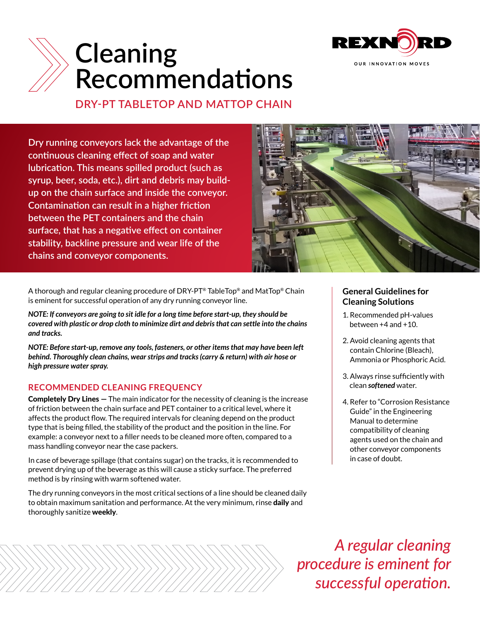

## **Cleaning** Recommendations underside, as well as well as well as well as well as well as well as well as well as well as well as well as w **soon as they are detected. Use warm water spillage.**

**DRY-PT TABLETOP AND MATTOP CHAIN**

**Dry running conveyors lack the advantage of the continuous cleaning effect of soap and water lubrication. This means spilled product (such as syrup, beer, soda, etc.), dirt and debris may buildup on the chain surface and inside the conveyor. Contamination can result in a higher friction between the PET containers and the chain surface, that has a negative effect on container stability, backline pressure and wear life of the chains and conveyor components.**



A thorough and regular cleaning procedure of DRY-PT® TableTop® and MatTop® Chain is eminent for successful operation of any dry running conveyor line.

*NOTE: If conveyors are going to sit idle for a long time before start-up, they should be covered with plastic or drop cloth to minimize dirt and debris that can settle into the chains and tracks.*

*NOTE: Before start-up, remove any tools, fasteners, or other items that may have been left behind. Thoroughly clean chains, wear strips and tracks (carry & return) with air hose or high pressure water spray.*

## **RECOMMENDED CLEANING FREQUENCY**

**Completely Dry Lines**  $-$  The main indicator for the necessity of cleaning is the increase of friction between the chain surface and PET container to a critical level, where it affects the product flow. The required intervals for cleaning depend on the product type that is being filled, the stability of the product and the position in the line. For example: a conveyor next to a filler needs to be cleaned more often, compared to a mass handling conveyor near the case packers.

In case of beverage spillage (that contains sugar) on the tracks, it is recommended to prevent drying up of the beverage as this will cause a sticky surface. The preferred method is by rinsing with warm softened water.

The dry running conveyors in the most critical sections of a line should be cleaned daily to obtain maximum sanitation and performance. At the very minimum, rinse **daily** and thoroughly sanitize weekly.

### **General Guidelines for Cleaning Solutions**

- 1. Recommended pH-values between +4 and +10.
- 2. Avoid cleaning agents that contain Chlorine (Bleach), Ammonia or Phosphoric Acid.
- 3. Always rinse sufficiently with clean *softened* water.
- 4. Refer to "Corrosion Resistance Guide" in the Engineering Manual to determine compatibility of cleaning agents used on the chain and other conveyor components in case of doubt.

*A regular cleaning procedure is eminent for successful operation.*